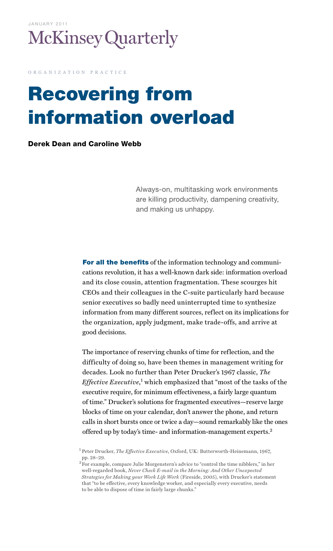

o r g a n i z a t i o n p r a c t i c e

# Recovering from information overload

#### Derek Dean and Caroline Webb

Always-on, multitasking work environments are killing productivity, dampening creativity, and making us unhappy.

For all the benefits of the information technology and communications revolution, it has a well-known dark side: information overload and its close cousin, attention fragmentation. These scourges hit CEOs and their colleagues in the C-suite particularly hard because senior executives so badly need uninterrupted time to synthesize information from many different sources, reflect on its implications for the organization, apply judgment, make trade-offs, and arrive at good decisions.

The importance of reserving chunks of time for reflection, and the difficulty of doing so, have been themes in management writing for decades. Look no further than Peter Drucker's 1967 classic, *The*  Effective Executive,<sup>1</sup> which emphasized that "most of the tasks of the executive require, for minimum effectiveness, a fairly large quantum of time." Drucker's solutions for fragmented executives—reserve large blocks of time on your calendar, don't answer the phone, and return calls in short bursts once or twice a day—sound remarkably like the ones offered up by today's time- and information-management experts.2

<sup>1</sup> Peter Drucker, *The Effective Executive*, Oxford, UK: Butterworth-Heinemann, 1967, pp. 28–29.

<sup>&</sup>lt;sup>2</sup>For example, compare Julie Morgenstern's advice to "control the time nibblers," in her well-regarded book, *Never Check E-mail in the Morning: And Other Unexpected Strategies for Making your Work Life Work* (Fireside, 2005), with Drucker's statement that "to be effective, every knowledge worker, and especially every executive, needs to be able to dispose of time in fairly large chunks."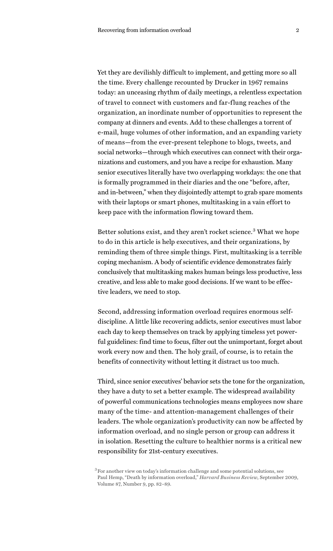Yet they are devilishly difficult to implement, and getting more so all the time. Every challenge recounted by Drucker in 1967 remains today: an unceasing rhythm of daily meetings, a relentless expectation of travel to connect with customers and far-flung reaches of the organization, an inordinate number of opportunities to represent the company at dinners and events. Add to these challenges a torrent of e-mail, huge volumes of other information, and an expanding variety of means—from the ever-present telephone to blogs, tweets, and social networks—through which executives can connect with their organizations and customers, and you have a recipe for exhaustion. Many senior executives literally have two overlapping workdays: the one that is formally programmed in their diaries and the one "before, after, and in-between," when they disjointedly attempt to grab spare moments with their laptops or smart phones, multitasking in a vain effort to keep pace with the information flowing toward them.

Better solutions exist, and they aren't rocket science.<sup>3</sup> What we hope to do in this article is help executives, and their organizations, by reminding them of three simple things. First, multitasking is a terrible coping mechanism. A body of scientific evidence demonstrates fairly conclusively that multitasking makes human beings less productive, less creative, and less able to make good decisions. If we want to be effective leaders, we need to stop.

Second, addressing information overload requires enormous selfdiscipline. A little like recovering addicts, senior executives must labor each day to keep themselves on track by applying timeless yet powerful guidelines: find time to focus, filter out the unimportant, forget about work every now and then. The holy grail, of course, is to retain the benefits of connectivity without letting it distract us too much.

Third, since senior executives' behavior sets the tone for the organization, they have a duty to set a better example. The widespread availability of powerful communications technologies means employees now share many of the time- and attention-management challenges of their leaders. The whole organization's productivity can now be affected by information overload, and no single person or group can address it in isolation. Resetting the culture to healthier norms is a critical new responsibility for 21st-century executives.

<sup>3</sup> For another view on today's information challenge and some potential solutions, see Paul Hemp, "Death by information overload," *Harvard Business Review*, September 2009, Volume 87, Number 9, pp. 82–89.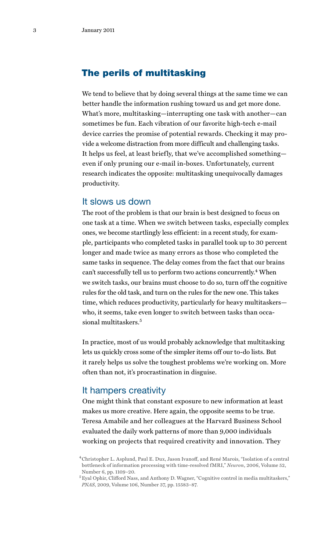# The perils of multitasking

We tend to believe that by doing several things at the same time we can better handle the information rushing toward us and get more done. What's more, multitasking—interrupting one task with another—can sometimes be fun. Each vibration of our favorite high-tech e-mail device carries the promise of potential rewards. Checking it may provide a welcome distraction from more difficult and challenging tasks. It helps us feel, at least briefly, that we've accomplished something even if only pruning our e-mail in-boxes. Unfortunately, current research indicates the opposite: multitasking unequivocally damages productivity.

#### It slows us down

The root of the problem is that our brain is best designed to focus on one task at a time. When we switch between tasks, especially complex ones, we become startlingly less efficient: in a recent study, for example, participants who completed tasks in parallel took up to 30 percent longer and made twice as many errors as those who completed the same tasks in sequence. The delay comes from the fact that our brains can't successfully tell us to perform two actions concurrently.<sup>4</sup> When we switch tasks, our brains must choose to do so, turn off the cognitive rules for the old task, and turn on the rules for the new one. This takes time, which reduces productivity, particularly for heavy multitaskers who, it seems, take even longer to switch between tasks than occasional multitaskers.<sup>5</sup>

In practice, most of us would probably acknowledge that multitasking lets us quickly cross some of the simpler items off our to-do lists. But it rarely helps us solve the toughest problems we're working on. More often than not, it's procrastination in disguise.

### It hampers creativity

One might think that constant exposure to new information at least makes us more creative. Here again, the opposite seems to be true. Teresa Amabile and her colleagues at the Harvard Business School evaluated the daily work patterns of more than 9,000 individuals working on projects that required creativity and innovation. They

<sup>4</sup> Christopher L. Asplund, Paul E. Dux, Jason Ivanoff, and René Marois, "Isolation of a central bottleneck of information processing with time-resolved fMRI," *Neuron*, 2006, Volume 52, Number 6, pp. 1109–20.

 $^5$  Eyal Ophir, Clifford Nass, and Anthony D. Wagner, "Cognitive control in media multitaskers," *PNAS*, 2009, Volume 106, Number 37, pp. 15583–87.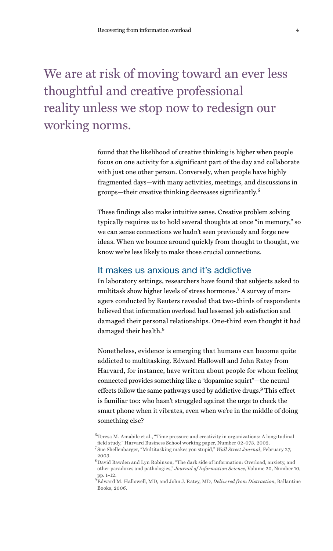# We are at risk of moving toward an ever less thoughtful and creative professional reality unless we stop now to redesign our working norms.

found that the likelihood of creative thinking is higher when people focus on one activity for a significant part of the day and collaborate with just one other person. Conversely, when people have highly fragmented days—with many activities, meetings, and discussions in groups—their creative thinking decreases significantly.<sup>6</sup>

These findings also make intuitive sense. Creative problem solving typically requires us to hold several thoughts at once "in memory," so we can sense connections we hadn't seen previously and forge new ideas. When we bounce around quickly from thought to thought, we know we're less likely to make those crucial connections.

# It makes us anxious and it's addictive

In laboratory settings, researchers have found that subjects asked to multitask show higher levels of stress hormones.7 A survey of managers conducted by Reuters revealed that two-thirds of respondents believed that information overload had lessened job satisfaction and damaged their personal relationships. One-third even thought it had damaged their health.<sup>8</sup>

Nonetheless, evidence is emerging that humans can become quite addicted to multitasking. Edward Hallowell and John Ratey from Harvard, for instance, have written about people for whom feeling connected provides something like a "dopamine squirt"—the neural effects follow the same pathways used by addictive drugs.<sup>9</sup> This effect is familiar too: who hasn't struggled against the urge to check the smart phone when it vibrates, even when we're in the middle of doing something else?

 $^6$  Teresa M. Amabile et al., "Time pressure and creativity in organizations: A longitudinal field study," Harvard Business School working paper, Number 02-073, 2002.

<sup>7</sup> Sue Shellenbarger, "Multitasking makes you stupid," *Wall Street Journal*, February 27, 2003.

 $^8$  David Bawden and Lyn Robinson, "The dark side of information: Overload, anxiety, and other paradoxes and pathologies," *Journal of Information Science*, Volume 20, Number 10, pp. 1–12.

<sup>9</sup> Edward M. Hallowell, MD, and John J. Ratey, MD, *Delivered from Distraction*, Ballantine Books, 2006.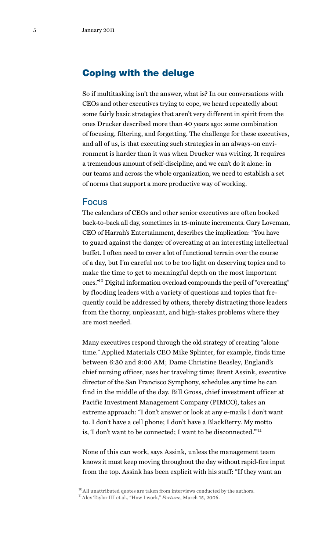# Coping with the deluge

So if multitasking isn't the answer, what is? In our conversations with CEOs and other executives trying to cope, we heard repeatedly about some fairly basic strategies that aren't very different in spirit from the ones Drucker described more than 40 years ago: some combination of focusing, filtering, and forgetting. The challenge for these executives, and all of us, is that executing such strategies in an always-on environment is harder than it was when Drucker was writing. It requires a tremendous amount of self-discipline, and we can't do it alone: in our teams and across the whole organization, we need to establish a set of norms that support a more productive way of working.

#### Focus

The calendars of CEOs and other senior executives are often booked back-to-back all day, sometimes in 15-minute increments. Gary Loveman, CEO of Harrah's Entertainment, describes the implication: "You have to guard against the danger of overeating at an interesting intellectual buffet. I often need to cover a lot of functional terrain over the course of a day, but I'm careful not to be too light on deserving topics and to make the time to get to meaningful depth on the most important ones."10 Digital information overload compounds the peril of "overeating" by flooding leaders with a variety of questions and topics that frequently could be addressed by others, thereby distracting those leaders from the thorny, unpleasant, and high-stakes problems where they are most needed.

Many executives respond through the old strategy of creating "alone time." Applied Materials CEO Mike Splinter, for example, finds time between 6:30 and 8:00 AM; Dame Christine Beasley, England's chief nursing officer, uses her traveling time; Brent Assink, executive director of the San Francisco Symphony, schedules any time he can find in the middle of the day. Bill Gross, chief investment officer at Pacific Investment Management Company (PIMCO), takes an extreme approach: "I don't answer or look at any e-mails I don't want to. I don't have a cell phone; I don't have a BlackBerry. My motto is, 'I don't want to be connected; I want to be disconnected.'"<sup>11</sup>

None of this can work, says Assink, unless the management team knows it must keep moving throughout the day without rapid-fire input from the top. Assink has been explicit with his staff: "If they want an

<sup>&</sup>lt;sup>10</sup>All unattributed quotes are taken from interviews conducted by the authors. 11Alex Taylor III et al., "How I work," *Fortune*, March 15, 2006.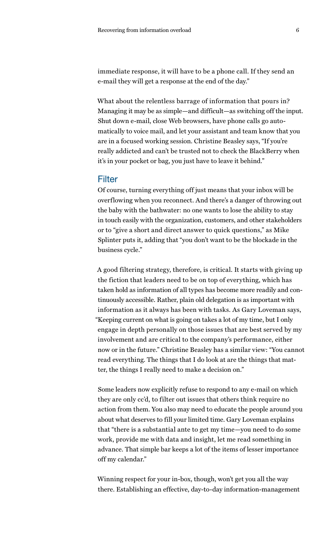immediate response, it will have to be a phone call. If they send an e-mail they will get a response at the end of the day."

What about the relentless barrage of information that pours in? Managing it may be as simple—and difficult—as switching off the input. Shut down e-mail, close Web browsers, have phone calls go automatically to voice mail, and let your assistant and team know that you are in a focused working session. Christine Beasley says, "If you're really addicted and can't be trusted not to check the BlackBerry when it's in your pocket or bag, you just have to leave it behind."

#### Filter

Of course, turning everything off just means that your inbox will be overflowing when you reconnect. And there's a danger of throwing out the baby with the bathwater: no one wants to lose the ability to stay in touch easily with the organization, customers, and other stakeholders or to "give a short and direct answer to quick questions," as Mike Splinter puts it, adding that "you don't want to be the blockade in the business cycle."

A good filtering strategy, therefore, is critical. It starts with giving up the fiction that leaders need to be on top of everything, which has taken hold as information of all types has become more readily and continuously accessible. Rather, plain old delegation is as important with information as it always has been with tasks. As Gary Loveman says, "Keeping current on what is going on takes a lot of my time, but I only engage in depth personally on those issues that are best served by my involvement and are critical to the company's performance, either now or in the future." Christine Beasley has a similar view: "You cannot read everything. The things that I do look at are the things that matter, the things I really need to make a decision on."

Some leaders now explicitly refuse to respond to any e-mail on which they are only cc'd, to filter out issues that others think require no action from them. You also may need to educate the people around you about what deserves to fill your limited time. Gary Loveman explains that "there is a substantial ante to get my time—you need to do some work, provide me with data and insight, let me read something in advance. That simple bar keeps a lot of the items of lesser importance off my calendar."

Winning respect for your in-box, though, won't get you all the way there. Establishing an effective, day-to-day information-management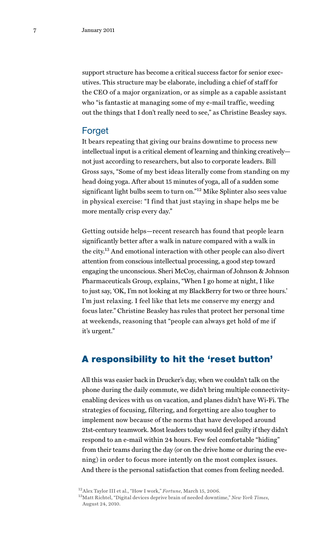support structure has become a critical success factor for senior executives. This structure may be elaborate, including a chief of staff for the CEO of a major organization, or as simple as a capable assistant who "is fantastic at managing some of my e-mail traffic, weeding out the things that I don't really need to see," as Christine Beasley says.

## **Forget**

It bears repeating that giving our brains downtime to process new intellectual input is a critical element of learning and thinking creatively not just according to researchers, but also to corporate leaders. Bill Gross says, "Some of my best ideas literally come from standing on my head doing yoga. After about 15 minutes of yoga, all of a sudden some significant light bulbs seem to turn on."<sup>12</sup> Mike Splinter also sees value in physical exercise: "I find that just staying in shape helps me be more mentally crisp every day."

Getting outside helps—recent research has found that people learn significantly better after a walk in nature compared with a walk in the city.13 And emotional interaction with other people can also divert attention from conscious intellectual processing, a good step toward engaging the unconscious. Sheri McCoy, chairman of Johnson & Johnson Pharmaceuticals Group, explains, "When I go home at night, I like to just say, 'OK, I'm not looking at my BlackBerry for two or three hours.' I'm just relaxing. I feel like that lets me conserve my energy and focus later." Christine Beasley has rules that protect her personal time at weekends, reasoning that "people can always get hold of me if it's urgent."

# A responsibility to hit the 'reset button'

All this was easier back in Drucker's day, when we couldn't talk on the phone during the daily commute, we didn't bring multiple connectivityenabling devices with us on vacation, and planes didn't have Wi-Fi. The strategies of focusing, filtering, and forgetting are also tougher to implement now because of the norms that have developed around 21st-century teamwork. Most leaders today would feel guilty if they didn't respond to an e-mail within 24 hours. Few feel comfortable "hiding" from their teams during the day (or on the drive home or during the evening) in order to focus more intently on the most complex issues. And there is the personal satisfaction that comes from feeling needed.

<sup>12</sup>Alex Taylor III et al., "How I work," *Fortune*, March 15, 2006.

<sup>13</sup>Matt Richtel, "Digital devices deprive brain of needed downtime," *New York Times*, August 24, 2010.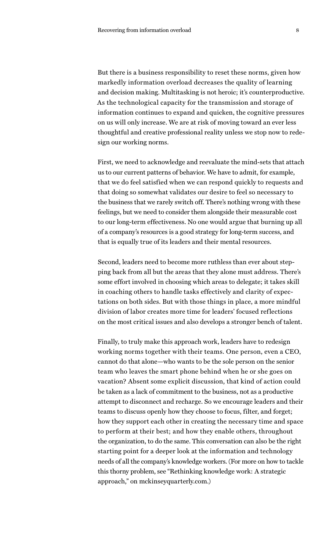But there is a business responsibility to reset these norms, given how markedly information overload decreases the quality of learning and decision making. Multitasking is not heroic; it's counterproductive. As the technological capacity for the transmission and storage of information continues to expand and quicken, the cognitive pressures on us will only increase. We are at risk of moving toward an ever less thoughtful and creative professional reality unless we stop now to redesign our working norms.

First, we need to acknowledge and reevaluate the mind-sets that attach us to our current patterns of behavior. We have to admit, for example, that we do feel satisfied when we can respond quickly to requests and that doing so somewhat validates our desire to feel so necessary to the business that we rarely switch off. There's nothing wrong with these feelings, but we need to consider them alongside their measurable cost to our long-term effectiveness. No one would argue that burning up all of a company's resources is a good strategy for long-term success, and that is equally true of its leaders and their mental resources.

Second, leaders need to become more ruthless than ever about stepping back from all but the areas that they alone must address. There's some effort involved in choosing which areas to delegate; it takes skill in coaching others to handle tasks effectively and clarity of expectations on both sides. But with those things in place, a more mindful division of labor creates more time for leaders' focused reflections on the most critical issues and also develops a stronger bench of talent.

Finally, to truly make this approach work, leaders have to redesign working norms together with their teams. One person, even a CEO, cannot do that alone—who wants to be the sole person on the senior team who leaves the smart phone behind when he or she goes on vacation? Absent some explicit discussion, that kind of action could be taken as a lack of commitment to the business, not as a productive attempt to disconnect and recharge. So we encourage leaders and their teams to discuss openly how they choose to focus, filter, and forget; how they support each other in creating the necessary time and space to perform at their best; and how they enable others, throughout the organization, to do the same. This conversation can also be the right starting point for a deeper look at the information and technology needs of all the company's knowledge workers. (For more on how to tackle this thorny problem, see "Rethinking knowledge work: A strategic approach," on mckinseyquarterly.com.)